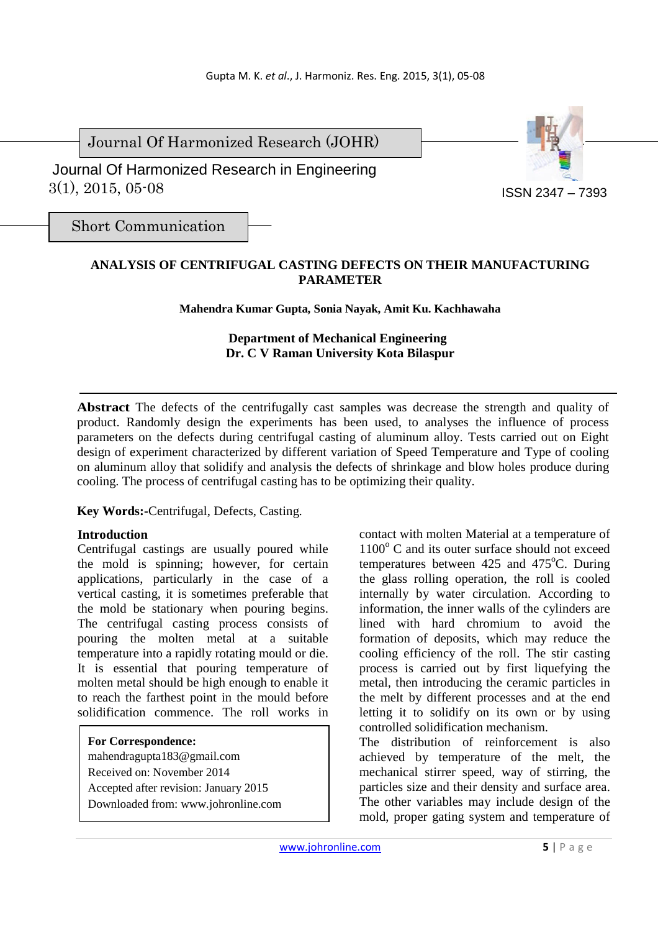Journal Of Harmonized Research (JOHR)

 3(1), 2015, 05-08 Journal Of Harmonized Research in Engineering



Short Communication

# **ANALYSIS OF CENTRIFUGAL CASTING DEFECTS ON THEIR MANUFACTURING PARAMETER**

**Mahendra Kumar Gupta, Sonia Nayak, Amit Ku. Kachhawaha**

# **Department of Mechanical Engineering Dr. C V Raman University Kota Bilaspur**

**Abstract** The defects of the centrifugally cast samples was decrease the strength and quality of product. Randomly design the experiments has been used, to analyses the influence of process parameters on the defects during centrifugal casting of aluminum alloy. Tests carried out on Eight design of experiment characterized by different variation of Speed Temperature and Type of cooling on aluminum alloy that solidify and analysis the defects of shrinkage and blow holes produce during cooling. The process of centrifugal casting has to be optimizing their quality.

**Key Words:-**Centrifugal, Defects, Casting.

### **Introduction**

Centrifugal castings are usually poured while the mold is spinning; however, for certain applications, particularly in the case of a vertical casting, it is sometimes preferable that the mold be stationary when pouring begins. The centrifugal casting process consists of pouring the molten metal at a suitable temperature into a rapidly rotating mould or die. It is essential that pouring temperature of molten metal should be high enough to enable it to reach the farthest point in the mould before solidification commence. The roll works in

#### **For Correspondence:**

mahendragupta183@gmail.com Received on: November 2014 Accepted after revision: January 2015 Downloaded from: www.johronline.com contact with molten Material at a temperature of 1100° C and its outer surface should not exceed temperatures between  $425$  and  $475^{\circ}$ C. During the glass rolling operation, the roll is cooled internally by water circulation. According to information, the inner walls of the cylinders are lined with hard chromium to avoid the formation of deposits, which may reduce the cooling efficiency of the roll. The stir casting process is carried out by first liquefying the metal, then introducing the ceramic particles in the melt by different processes and at the end letting it to solidify on its own or by using controlled solidification mechanism.

The distribution of reinforcement is also achieved by temperature of the melt, the mechanical stirrer speed, way of stirring, the particles size and their density and surface area. The other variables may include design of the mold, proper gating system and temperature of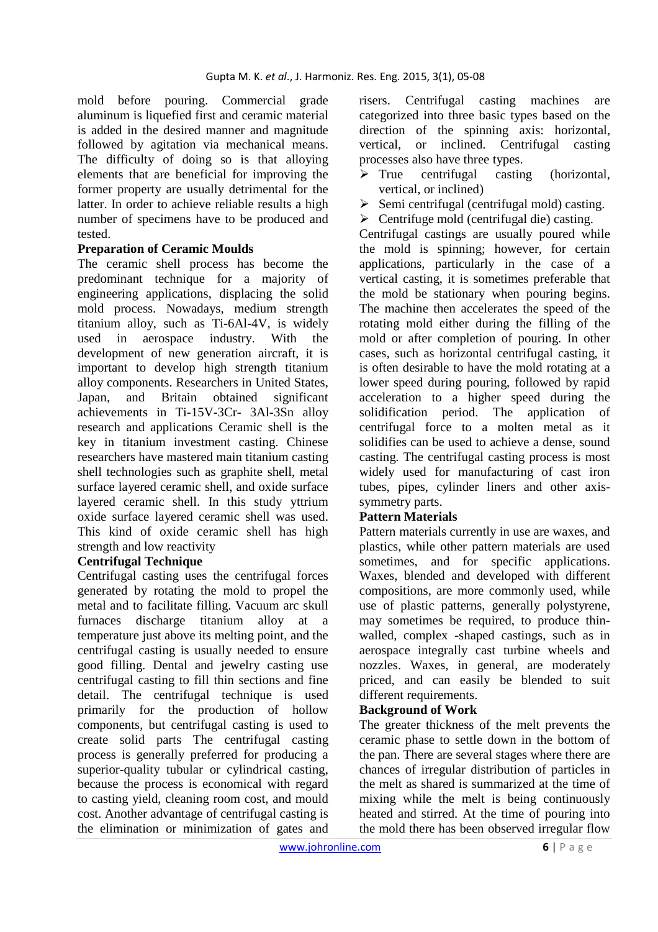mold before pouring. Commercial grade aluminum is liquefied first and ceramic material is added in the desired manner and magnitude followed by agitation via mechanical means. The difficulty of doing so is that alloying elements that are beneficial for improving the former property are usually detrimental for the latter. In order to achieve reliable results a high number of specimens have to be produced and tested.

# **Preparation of Ceramic Moulds**

The ceramic shell process has become the predominant technique for a majority of engineering applications, displacing the solid mold process. Nowadays, medium strength titanium alloy, such as Ti-6Al-4V, is widely used in aerospace industry. With the development of new generation aircraft, it is important to develop high strength titanium alloy components. Researchers in United States, Japan, and Britain obtained significant achievements in Ti-15V-3Cr- 3Al-3Sn alloy research and applications Ceramic shell is the key in titanium investment casting. Chinese researchers have mastered main titanium casting shell technologies such as graphite shell, metal surface layered ceramic shell, and oxide surface layered ceramic shell. In this study yttrium oxide surface layered ceramic shell was used. This kind of oxide ceramic shell has high strength and low reactivity

# **Centrifugal Technique**

Centrifugal casting uses the centrifugal forces generated by rotating the mold to propel the metal and to facilitate filling. Vacuum arc skull furnaces discharge titanium alloy at a temperature just above its melting point, and the centrifugal casting is usually needed to ensure good filling. Dental and jewelry casting use centrifugal casting to fill thin sections and fine detail. The centrifugal technique is used primarily for the production of hollow components, but centrifugal casting is used to create solid parts The centrifugal casting process is generally preferred for producing a superior-quality tubular or cylindrical casting, because the process is economical with regard to casting yield, cleaning room cost, and mould cost. Another advantage of centrifugal casting is the elimination or minimization of gates and

risers. Centrifugal casting machines are categorized into three basic types based on the direction of the spinning axis: horizontal, vertical, or inclined. Centrifugal casting processes also have three types.

- $\triangleright$  True centrifugal casting (horizontal, vertical, or inclined)
- $\triangleright$  Semi centrifugal (centrifugal mold) casting.
- $\triangleright$  Centrifuge mold (centrifugal die) casting.

Centrifugal castings are usually poured while the mold is spinning; however, for certain applications, particularly in the case of a vertical casting, it is sometimes preferable that the mold be stationary when pouring begins. The machine then accelerates the speed of the rotating mold either during the filling of the mold or after completion of pouring. In other cases, such as horizontal centrifugal casting, it is often desirable to have the mold rotating at a lower speed during pouring, followed by rapid acceleration to a higher speed during the solidification period. The application of centrifugal force to a molten metal as it solidifies can be used to achieve a dense, sound casting. The centrifugal casting process is most widely used for manufacturing of cast iron tubes, pipes, cylinder liners and other axissymmetry parts.

# **Pattern Materials**

Pattern materials currently in use are waxes, and plastics, while other pattern materials are used sometimes, and for specific applications. Waxes, blended and developed with different compositions, are more commonly used, while use of plastic patterns, generally polystyrene, may sometimes be required, to produce thinwalled, complex -shaped castings, such as in aerospace integrally cast turbine wheels and nozzles. Waxes, in general, are moderately priced, and can easily be blended to suit different requirements.

# **Background of Work**

The greater thickness of the melt prevents the ceramic phase to settle down in the bottom of the pan. There are several stages where there are chances of irregular distribution of particles in the melt as shared is summarized at the time of mixing while the melt is being continuously heated and stirred. At the time of pouring into the mold there has been observed irregular flow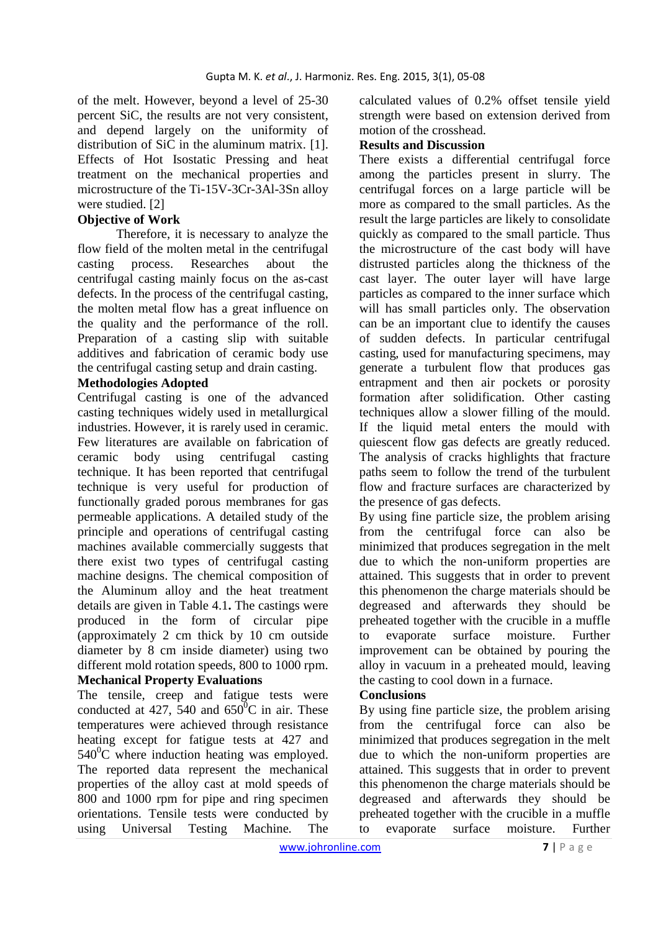of the melt. However, beyond a level of 25-30 percent SiC, the results are not very consistent, and depend largely on the uniformity of distribution of SiC in the aluminum matrix. [1]. Effects of Hot Isostatic Pressing and heat treatment on the mechanical properties and microstructure of the Ti-15V-3Cr-3Al-3Sn alloy were studied. [2]

### **Objective of Work**

Therefore, it is necessary to analyze the flow field of the molten metal in the centrifugal casting process. Researches about the centrifugal casting mainly focus on the as-cast defects. In the process of the centrifugal casting, the molten metal flow has a great influence on the quality and the performance of the roll. Preparation of a casting slip with suitable additives and fabrication of ceramic body use the centrifugal casting setup and drain casting.

### **Methodologies Adopted**

Centrifugal casting is one of the advanced casting techniques widely used in metallurgical industries. However, it is rarely used in ceramic. Few literatures are available on fabrication of ceramic body using centrifugal casting technique. It has been reported that centrifugal technique is very useful for production of functionally graded porous membranes for gas permeable applications. A detailed study of the principle and operations of centrifugal casting machines available commercially suggests that there exist two types of centrifugal casting machine designs. The chemical composition of the Aluminum alloy and the heat treatment details are given in Table 4.1**.** The castings were produced in the form of circular pipe (approximately 2 cm thick by 10 cm outside diameter by 8 cm inside diameter) using two different mold rotation speeds, 800 to 1000 rpm. **Mechanical Property Evaluations** 

The tensile, creep and fatigue tests were conducted at 427, 540 and  $650^{\circ}$ C in air. These temperatures were achieved through resistance heating except for fatigue tests at 427 and  $540^0$ C where induction heating was employed. The reported data represent the mechanical properties of the alloy cast at mold speeds of 800 and 1000 rpm for pipe and ring specimen orientations. Tensile tests were conducted by using Universal Testing Machine. The

calculated values of 0.2% offset tensile yield strength were based on extension derived from motion of the crosshead.

### **Results and Discussion**

There exists a differential centrifugal force among the particles present in slurry. The centrifugal forces on a large particle will be more as compared to the small particles. As the result the large particles are likely to consolidate quickly as compared to the small particle. Thus the microstructure of the cast body will have distrusted particles along the thickness of the cast layer. The outer layer will have large particles as compared to the inner surface which will has small particles only. The observation can be an important clue to identify the causes of sudden defects. In particular centrifugal casting, used for manufacturing specimens, may generate a turbulent flow that produces gas entrapment and then air pockets or porosity formation after solidification. Other casting techniques allow a slower filling of the mould. If the liquid metal enters the mould with quiescent flow gas defects are greatly reduced. The analysis of cracks highlights that fracture paths seem to follow the trend of the turbulent flow and fracture surfaces are characterized by the presence of gas defects.

By using fine particle size, the problem arising from the centrifugal force can also be minimized that produces segregation in the melt due to which the non-uniform properties are attained. This suggests that in order to prevent this phenomenon the charge materials should be degreased and afterwards they should be preheated together with the crucible in a muffle to evaporate surface moisture. Further improvement can be obtained by pouring the alloy in vacuum in a preheated mould, leaving the casting to cool down in a furnace.

# **Conclusions**

By using fine particle size, the problem arising from the centrifugal force can also be minimized that produces segregation in the melt due to which the non-uniform properties are attained. This suggests that in order to prevent this phenomenon the charge materials should be degreased and afterwards they should be preheated together with the crucible in a muffle to evaporate surface moisture. Further